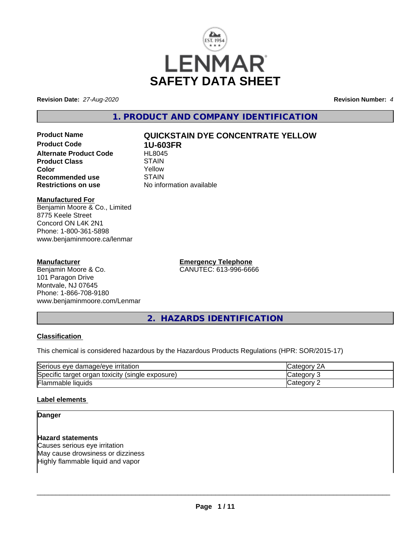

**Revision Date:** *27-Aug-2020* **Revision Number:** *4*

**1. PRODUCT AND COMPANY IDENTIFICATION**

**Product Code 1U-603FR Alternate Product Code FIL8045**<br>Product Class STAIN **Product Class**<br> **Color**<br>
Color **Color** Yellow **Recommended use** STAIN<br> **Restrictions on use** No info

# **Product Name QUICKSTAIN DYE CONCENTRATE YELLOW**

**No information available** 

# **Manufactured For**

Benjamin Moore & Co., Limited 8775 Keele Street Concord ON L4K 2N1 Phone: 1-800-361-5898 www.benjaminmoore.ca/lenmar

# **Manufacturer**

Benjamin Moore & Co. 101 Paragon Drive Montvale, NJ 07645 Phone: 1-866-708-9180 www.benjaminmoore.com/Lenmar **Emergency Telephone** CANUTEC: 613-996-6666

**2. HAZARDS IDENTIFICATION**

# **Classification**

This chemical is considered hazardous by the Hazardous Products Regulations (HPR: SOR/2015-17)

| Serious<br>∘ damaɑe/eve<br><b>irritation</b><br>eve          | и.    |
|--------------------------------------------------------------|-------|
| Specific<br>(single exposure)<br>toxicity<br>organ<br>target | аог   |
| Flammable<br><b>liquids</b>                                  | .eaor |

# **Label elements**

# **Danger**

### **Hazard statements**

Causes serious eye irritation May cause drowsiness or dizziness Highly flammable liquid and vapor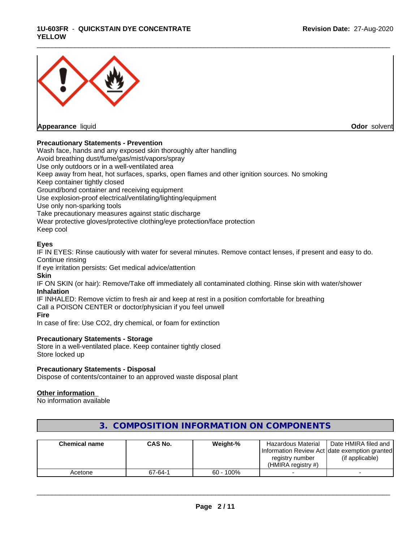### **1U-603FR** - **QUICKSTAIN DYE CONCENTRATE YELLOW**



**Appearance** liquid **Odor** solvent

# **Precautionary Statements - Prevention**

Wash face, hands and any exposed skin thoroughly after handling Avoid breathing dust/fume/gas/mist/vapors/spray Use only outdoors or in a well-ventilated area Keep away from heat, hot surfaces, sparks, open flames and other ignition sources. No smoking Keep container tightly closed Ground/bond container and receiving equipment Use explosion-proof electrical/ventilating/lighting/equipment Use only non-sparking tools Take precautionary measures against static discharge Wear protective gloves/protective clothing/eye protection/face protection Keep cool

# **Eyes**

IF IN EYES: Rinse cautiously with water for several minutes. Remove contact lenses, if present and easy to do. Continue rinsing

\_\_\_\_\_\_\_\_\_\_\_\_\_\_\_\_\_\_\_\_\_\_\_\_\_\_\_\_\_\_\_\_\_\_\_\_\_\_\_\_\_\_\_\_\_\_\_\_\_\_\_\_\_\_\_\_\_\_\_\_\_\_\_\_\_\_\_\_\_\_\_\_\_\_\_\_\_\_\_\_\_\_\_\_\_\_\_\_\_\_\_\_\_

If eye irritation persists: Get medical advice/attention

**Skin**

IF ON SKIN (or hair): Remove/Take off immediately all contaminated clothing. Rinse skin with water/shower **Inhalation**

IF INHALED: Remove victim to fresh air and keep at rest in a position comfortable for breathing Call a POISON CENTER or doctor/physician if you feel unwell **Fire**

In case of fire: Use CO2, dry chemical, or foam for extinction

### **Precautionary Statements - Storage**

Store in a well-ventilated place. Keep container tightly closed Store locked up

# **Precautionary Statements - Disposal**

Dispose of contents/container to an approved waste disposal plant

### **Other information**

No information available

| <b>Chemical name</b> | <b>CAS No.</b> | Weight-%     | Hazardous Material<br>registry number<br>(HMIRA registry #) | Date HMIRA filed and<br>Information Review Act Idate exemption granted<br>(if applicable) |
|----------------------|----------------|--------------|-------------------------------------------------------------|-------------------------------------------------------------------------------------------|
| Acetone              | 67-64-1        | $60 - 100\%$ |                                                             |                                                                                           |

# **3. COMPOSITION INFORMATION ON COMPONENTS**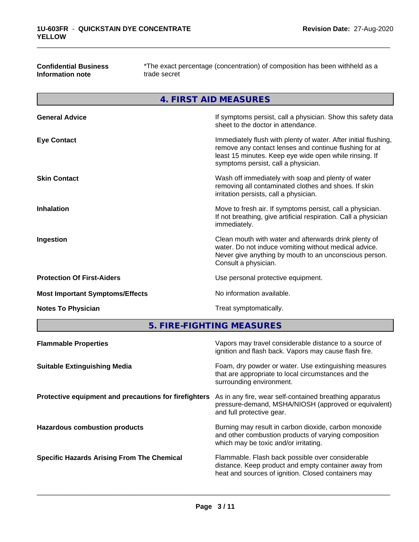**Confidential Business Information note**

\*The exact percentage (concentration) of composition has been withheld as a trade secret

\_\_\_\_\_\_\_\_\_\_\_\_\_\_\_\_\_\_\_\_\_\_\_\_\_\_\_\_\_\_\_\_\_\_\_\_\_\_\_\_\_\_\_\_\_\_\_\_\_\_\_\_\_\_\_\_\_\_\_\_\_\_\_\_\_\_\_\_\_\_\_\_\_\_\_\_\_\_\_\_\_\_\_\_\_\_\_\_\_\_\_\_\_

**4. FIRST AID MEASURES**

| <b>General Advice</b>                  | If symptoms persist, call a physician. Show this safety data<br>sheet to the doctor in attendance.                                                                                                                         |
|----------------------------------------|----------------------------------------------------------------------------------------------------------------------------------------------------------------------------------------------------------------------------|
| <b>Eye Contact</b>                     | Immediately flush with plenty of water. After initial flushing,<br>remove any contact lenses and continue flushing for at<br>least 15 minutes. Keep eye wide open while rinsing. If<br>symptoms persist, call a physician. |
| <b>Skin Contact</b>                    | Wash off immediately with soap and plenty of water<br>removing all contaminated clothes and shoes. If skin<br>irritation persists, call a physician.                                                                       |
| <b>Inhalation</b>                      | Move to fresh air. If symptoms persist, call a physician.<br>If not breathing, give artificial respiration. Call a physician<br>immediately.                                                                               |
| Ingestion                              | Clean mouth with water and afterwards drink plenty of<br>water. Do not induce vomiting without medical advice.<br>Never give anything by mouth to an unconscious person.<br>Consult a physician.                           |
| <b>Protection Of First-Aiders</b>      | Use personal protective equipment.                                                                                                                                                                                         |
| <b>Most Important Symptoms/Effects</b> | No information available.                                                                                                                                                                                                  |
| <b>Notes To Physician</b>              | Treat symptomatically.                                                                                                                                                                                                     |
|                                        |                                                                                                                                                                                                                            |

**5. FIRE-FIGHTING MEASURES**

| <b>Flammable Properties</b>                           | Vapors may travel considerable distance to a source of<br>ignition and flash back. Vapors may cause flash fire.                                                 |
|-------------------------------------------------------|-----------------------------------------------------------------------------------------------------------------------------------------------------------------|
| <b>Suitable Extinguishing Media</b>                   | Foam, dry powder or water. Use extinguishing measures<br>that are appropriate to local circumstances and the<br>surrounding environment.                        |
| Protective equipment and precautions for firefighters | As in any fire, wear self-contained breathing apparatus<br>pressure-demand, MSHA/NIOSH (approved or equivalent)<br>and full protective gear.                    |
| <b>Hazardous combustion products</b>                  | Burning may result in carbon dioxide, carbon monoxide<br>and other combustion products of varying composition<br>which may be toxic and/or irritating.          |
| <b>Specific Hazards Arising From The Chemical</b>     | Flammable. Flash back possible over considerable<br>distance. Keep product and empty container away from<br>heat and sources of ignition. Closed containers may |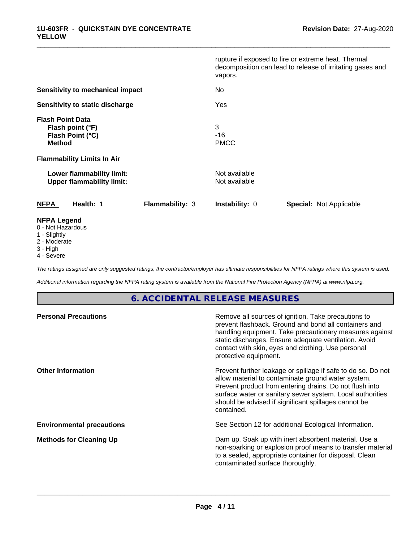|                                                                                  |                        | vapors.                        | rupture if exposed to fire or extreme heat. Thermal<br>decomposition can lead to release of irritating gases and |
|----------------------------------------------------------------------------------|------------------------|--------------------------------|------------------------------------------------------------------------------------------------------------------|
| <b>Sensitivity to mechanical impact</b>                                          |                        | No                             |                                                                                                                  |
| Sensitivity to static discharge                                                  |                        | Yes                            |                                                                                                                  |
| <b>Flash Point Data</b><br>Flash point (°F)<br>Flash Point (°C)<br><b>Method</b> |                        | 3<br>-16<br><b>PMCC</b>        |                                                                                                                  |
| <b>Flammability Limits In Air</b>                                                |                        |                                |                                                                                                                  |
| Lower flammability limit:<br><b>Upper flammability limit:</b>                    |                        | Not available<br>Not available |                                                                                                                  |
| <b>NFPA</b><br>Health: 1                                                         | <b>Flammability: 3</b> | <b>Instability: 0</b>          | Special: Not Applicable                                                                                          |
| <b>NFPA Legend</b><br>0 - Not Hazardous<br>1 - Slightly                          |                        |                                |                                                                                                                  |

\_\_\_\_\_\_\_\_\_\_\_\_\_\_\_\_\_\_\_\_\_\_\_\_\_\_\_\_\_\_\_\_\_\_\_\_\_\_\_\_\_\_\_\_\_\_\_\_\_\_\_\_\_\_\_\_\_\_\_\_\_\_\_\_\_\_\_\_\_\_\_\_\_\_\_\_\_\_\_\_\_\_\_\_\_\_\_\_\_\_\_\_\_

- 1 Slightly
- 2 Moderate
- 3 High
- 4 Severe

*The ratings assigned are only suggested ratings, the contractor/employer has ultimate responsibilities for NFPA ratings where this system is used.*

*Additional information regarding the NFPA rating system is available from the National Fire Protection Agency (NFPA) at www.nfpa.org.*

# **6. ACCIDENTAL RELEASE MEASURES**

| Remove all sources of ignition. Take precautions to<br>prevent flashback. Ground and bond all containers and<br>handling equipment. Take precautionary measures against<br>static discharges. Ensure adequate ventilation. Avoid<br>contact with skin, eyes and clothing. Use personal<br>protective equipment.  |
|------------------------------------------------------------------------------------------------------------------------------------------------------------------------------------------------------------------------------------------------------------------------------------------------------------------|
| Prevent further leakage or spillage if safe to do so. Do not<br>allow material to contaminate ground water system.<br>Prevent product from entering drains. Do not flush into<br>surface water or sanitary sewer system. Local authorities<br>should be advised if significant spillages cannot be<br>contained. |
| See Section 12 for additional Ecological Information.                                                                                                                                                                                                                                                            |
| Dam up. Soak up with inert absorbent material. Use a<br>non-sparking or explosion proof means to transfer material<br>to a sealed, appropriate container for disposal. Clean<br>contaminated surface thoroughly.                                                                                                 |
|                                                                                                                                                                                                                                                                                                                  |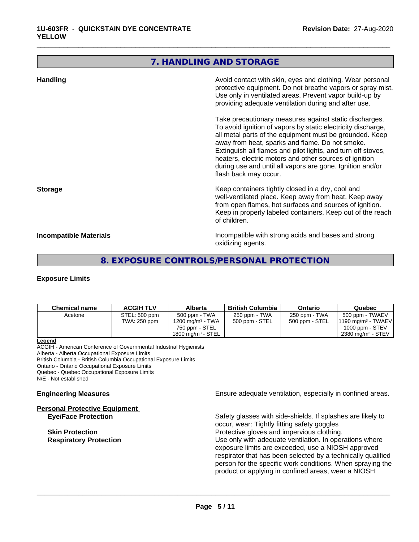# **7. HANDLING AND STORAGE**

\_\_\_\_\_\_\_\_\_\_\_\_\_\_\_\_\_\_\_\_\_\_\_\_\_\_\_\_\_\_\_\_\_\_\_\_\_\_\_\_\_\_\_\_\_\_\_\_\_\_\_\_\_\_\_\_\_\_\_\_\_\_\_\_\_\_\_\_\_\_\_\_\_\_\_\_\_\_\_\_\_\_\_\_\_\_\_\_\_\_\_\_\_

| <b>Handling</b>        | Avoid contact with skin, eyes and clothing. Wear personal<br>protective equipment. Do not breathe vapors or spray mist.<br>Use only in ventilated areas. Prevent vapor build-up by<br>providing adequate ventilation during and after use.                                                                                                                                                                                                           |
|------------------------|------------------------------------------------------------------------------------------------------------------------------------------------------------------------------------------------------------------------------------------------------------------------------------------------------------------------------------------------------------------------------------------------------------------------------------------------------|
|                        | Take precautionary measures against static discharges.<br>To avoid ignition of vapors by static electricity discharge,<br>all metal parts of the equipment must be grounded. Keep<br>away from heat, sparks and flame. Do not smoke.<br>Extinguish all flames and pilot lights, and turn off stoves,<br>heaters, electric motors and other sources of ignition<br>during use and until all vapors are gone. Ignition and/or<br>flash back may occur. |
| <b>Storage</b>         | Keep containers tightly closed in a dry, cool and<br>well-ventilated place. Keep away from heat. Keep away<br>from open flames, hot surfaces and sources of ignition.<br>Keep in properly labeled containers. Keep out of the reach<br>of children.                                                                                                                                                                                                  |
| Incompatible Materials | Incompatible with strong acids and bases and strong<br>oxidizing agents.                                                                                                                                                                                                                                                                                                                                                                             |

# **8. EXPOSURE CONTROLS/PERSONAL PROTECTION**

### **Exposure Limits**

| <b>Chemical name</b> | <b>ACGIH TLV</b> | Alberta                      | <b>British Columbia</b> | Ontario        | Quebec                        |
|----------------------|------------------|------------------------------|-------------------------|----------------|-------------------------------|
| Acetone              | STEL: 500 ppm    | 500 ppm - TWA                | 250 ppm - TWA           | 250 ppm - TWA  | 500 ppm - TWAEV               |
|                      | TWA: 250 ppm     | 1200 mg/m <sup>3</sup> - TWA | 500 ppm - STEL          | 500 ppm - STEL | $1190 \text{ mg/m}^3$ - TWAEV |
|                      |                  | 750 ppm - STEL               |                         |                | $1000$ ppm - STEV             |
|                      |                  | 1800 mg/m $3$ - STEL         |                         |                | 2380 mg/m <sup>3</sup> - STEV |

#### **Legend**

ACGIH - American Conference of Governmental Industrial Hygienists Alberta - Alberta Occupational Exposure Limits British Columbia - British Columbia Occupational Exposure Limits Ontario - Ontario Occupational Exposure Limits Quebec - Quebec Occupational Exposure Limits N/E - Not established

**Personal Protective Equipment**

**Engineering Measures Engineering Measures Engineering Measures Ensure adequate ventilation, especially in confined areas.** 

**Eye/Face Protection** Safety glasses with side-shields. If splashes are likely to occur, wear: Tightly fitting safety goggles **Skin Protection**<br> **Respiratory Protection**<br> **Respiratory Protection**<br> **Protective gloves and impervious clothing.**<br>
Use only with adequate ventilation. In oper Use only with adequate ventilation. In operations where exposure limits are exceeded, use a NIOSH approved respirator that has been selected by a technically qualified person for the specific work conditions. When spraying the product or applying in confined areas, wear a NIOSH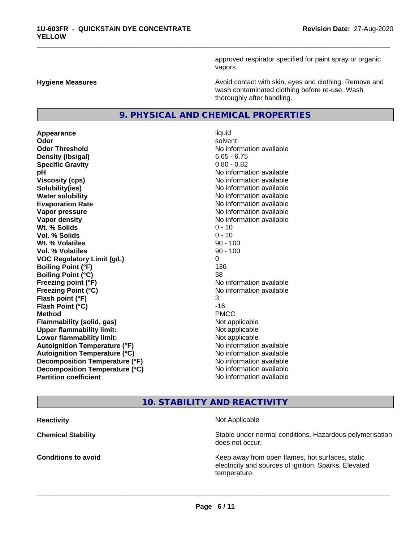approved respirator specified for paint spray or organic vapors.

**Hygiene Measures Avoid contact with skin, eyes and clothing. Remove and Avoid contact with skin, eyes and clothing. Remove and Avoid contact with skin, eyes and clothing. Remove and** wash contaminated clothing before re-use. Wash thoroughly after handling.

# **9. PHYSICAL AND CHEMICAL PROPERTIES**

**Appearance** liquid **Odor** solvent **Odor Threshold No information available No information available Density (lbs/gal)** 6.65 - 6.75 **Specific Gravity** 0.80 - 0.82 **pH** No information available **Viscosity (cps)** No information available **Solubility(ies)** No information available **Water solubility Water solubility Water solubility Water solubility Water solubility Water solution Evaporation Rate No information available No information available Vapor pressure** No information available **No information** available **Vapor density No information available No information available Wt.** % Solids 0 - 10 **Vol. % Solids** 0 - 10 **Wt. % Volatiles** 90 - 100 **Vol. % Volatiles** 90 - 100 **VOC Regulatory Limit (g/L)** 0 **Boiling Point (°F)** 136 **Boiling Point (°C)** 58 **Freezing point (°F)** No information available **Freezing Point (°C)** No information available **Flash point (°F)** 3 **Flash Point (°C)** -16 **Method** PMCC **Flammability (solid, gas)** Not applicable **Upper flammability limit:** Not applicable **Lower flammability limit:** Not applicable **Autoignition Temperature (°F)** No information available **Autoignition Temperature (°C)** No information available **Decomposition Temperature (°F)** No information available **Decomposition Temperature (°C)** No information available<br> **Partition coefficient Partition available** 

**No information available** 

\_\_\_\_\_\_\_\_\_\_\_\_\_\_\_\_\_\_\_\_\_\_\_\_\_\_\_\_\_\_\_\_\_\_\_\_\_\_\_\_\_\_\_\_\_\_\_\_\_\_\_\_\_\_\_\_\_\_\_\_\_\_\_\_\_\_\_\_\_\_\_\_\_\_\_\_\_\_\_\_\_\_\_\_\_\_\_\_\_\_\_\_\_

# **10. STABILITY AND REACTIVITY**

**Reactivity** Not Applicable **Chemical Stability Stability** Stable under normal conditions. Hazardous polymerisation does not occur. **Conditions to avoid EXECUTE:** The Metal Metal Metal Metal Metal Metal Metal Metal Metal Metal Metal Metal Metal Metal Metal Metal Metal Metal Metal Metal Metal Metal Metal Metal Metal Metal Metal Metal Metal Metal Metal electricity and sources of ignition. Sparks. Elevated temperature.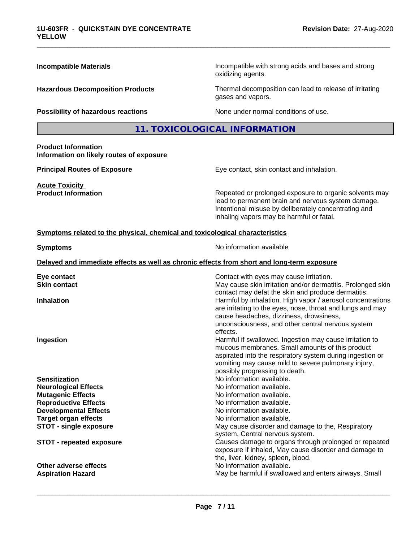| <b>Incompatible Materials</b>                                                | Incompatible with strong acids and bases and strong<br>oxidizing agents.                                                                                                                                                                                                                                                            |  |  |
|------------------------------------------------------------------------------|-------------------------------------------------------------------------------------------------------------------------------------------------------------------------------------------------------------------------------------------------------------------------------------------------------------------------------------|--|--|
| <b>Hazardous Decomposition Products</b>                                      | Thermal decomposition can lead to release of irritating<br>gases and vapors.                                                                                                                                                                                                                                                        |  |  |
| Possibility of hazardous reactions                                           | None under normal conditions of use.                                                                                                                                                                                                                                                                                                |  |  |
|                                                                              | 11. TOXICOLOGICAL INFORMATION                                                                                                                                                                                                                                                                                                       |  |  |
| <b>Product Information</b><br>Information on likely routes of exposure       |                                                                                                                                                                                                                                                                                                                                     |  |  |
| <b>Principal Routes of Exposure</b>                                          | Eye contact, skin contact and inhalation.                                                                                                                                                                                                                                                                                           |  |  |
| <b>Acute Toxicity</b><br><b>Product Information</b>                          | Repeated or prolonged exposure to organic solvents may<br>lead to permanent brain and nervous system damage.<br>Intentional misuse by deliberately concentrating and<br>inhaling vapors may be harmful or fatal.                                                                                                                    |  |  |
| Symptoms related to the physical, chemical and toxicological characteristics |                                                                                                                                                                                                                                                                                                                                     |  |  |
| <b>Symptoms</b>                                                              | No information available                                                                                                                                                                                                                                                                                                            |  |  |
|                                                                              | Delayed and immediate effects as well as chronic effects from short and long-term exposure                                                                                                                                                                                                                                          |  |  |
| Eye contact<br><b>Skin contact</b><br><b>Inhalation</b>                      | Contact with eyes may cause irritation.<br>May cause skin irritation and/or dermatitis. Prolonged skin<br>contact may defat the skin and produce dermatitis.<br>Harmful by inhalation. High vapor / aerosol concentrations<br>are irritating to the eyes, nose, throat and lungs and may<br>cause headaches, dizziness, drowsiness, |  |  |
| Ingestion                                                                    | unconsciousness, and other central nervous system<br>effects.<br>Harmful if swallowed. Ingestion may cause irritation to<br>mucous membranes. Small amounts of this product<br>aspirated into the respiratory system during ingestion or<br>vomiting may cause mild to severe pulmonary injury,                                     |  |  |
| <b>Sensitization</b>                                                         | possibly progressing to death.<br>No information available.                                                                                                                                                                                                                                                                         |  |  |
| <b>Neurological Effects</b>                                                  | No information available.                                                                                                                                                                                                                                                                                                           |  |  |
| <b>Mutagenic Effects</b><br><b>Reproductive Effects</b>                      | No information available.<br>No information available.                                                                                                                                                                                                                                                                              |  |  |
| <b>Developmental Effects</b>                                                 | No information available.                                                                                                                                                                                                                                                                                                           |  |  |
| <b>Target organ effects</b>                                                  | No information available.                                                                                                                                                                                                                                                                                                           |  |  |
| <b>STOT - single exposure</b>                                                | May cause disorder and damage to the, Respiratory                                                                                                                                                                                                                                                                                   |  |  |
| <b>STOT - repeated exposure</b>                                              | system, Central nervous system.<br>Causes damage to organs through prolonged or repeated<br>exposure if inhaled, May cause disorder and damage to<br>the, liver, kidney, spleen, blood.                                                                                                                                             |  |  |
| Other adverse effects                                                        | No information available.                                                                                                                                                                                                                                                                                                           |  |  |
| <b>Aspiration Hazard</b>                                                     | May be harmful if swallowed and enters airways. Small                                                                                                                                                                                                                                                                               |  |  |

\_\_\_\_\_\_\_\_\_\_\_\_\_\_\_\_\_\_\_\_\_\_\_\_\_\_\_\_\_\_\_\_\_\_\_\_\_\_\_\_\_\_\_\_\_\_\_\_\_\_\_\_\_\_\_\_\_\_\_\_\_\_\_\_\_\_\_\_\_\_\_\_\_\_\_\_\_\_\_\_\_\_\_\_\_\_\_\_\_\_\_\_\_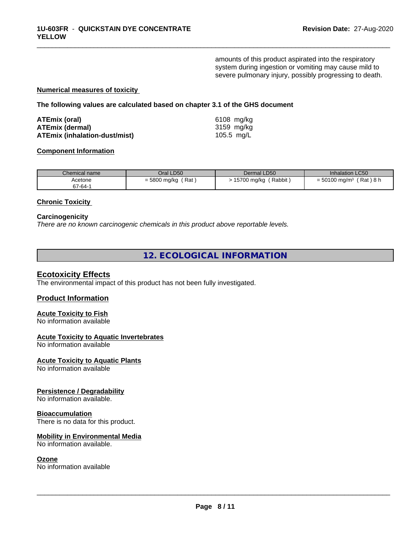amounts of this product aspirated into the respiratory system during ingestion or vomiting may cause mild to severe pulmonary injury, possibly progressing to death.

\_\_\_\_\_\_\_\_\_\_\_\_\_\_\_\_\_\_\_\_\_\_\_\_\_\_\_\_\_\_\_\_\_\_\_\_\_\_\_\_\_\_\_\_\_\_\_\_\_\_\_\_\_\_\_\_\_\_\_\_\_\_\_\_\_\_\_\_\_\_\_\_\_\_\_\_\_\_\_\_\_\_\_\_\_\_\_\_\_\_\_\_\_

#### **Numerical measures of toxicity**

**The following values are calculated based on chapter 3.1 of the GHS document**

| ATEmix (oral)                        | 6108 mg/ka |
|--------------------------------------|------------|
| <b>ATEmix (dermal)</b>               | 3159 mg/ka |
| <b>ATEmix (inhalation-dust/mist)</b> | 105.5 mg/L |

#### **Component Information**

| Chemical name      | Oral LD50           | Dermal LD50            | Inhalation LC50                                |
|--------------------|---------------------|------------------------|------------------------------------------------|
| Acetone<br>67-64-1 | Rat<br>= 5800 mg/kg | Rabbit,<br>15700 mg/kg | $'$ Rat $)$ 8 h<br>$= 50100$ mg/m <sup>3</sup> |
|                    |                     |                        |                                                |

# **Chronic Toxicity**

#### **Carcinogenicity**

*There are no known carcinogenic chemicals in this product above reportable levels.*

**12. ECOLOGICAL INFORMATION**

### **Ecotoxicity Effects**

The environmental impact of this product has not been fully investigated.

### **Product Information**

#### **Acute Toxicity to Fish** No information available

# **Acute Toxicity to Aquatic Invertebrates**

No information available

### **Acute Toxicity to Aquatic Plants**

No information available

# **Persistence / Degradability**

No information available.

#### **Bioaccumulation**

There is no data for this product.

# **Mobility in Environmental Media**

No information available.

#### **Ozone**

No information available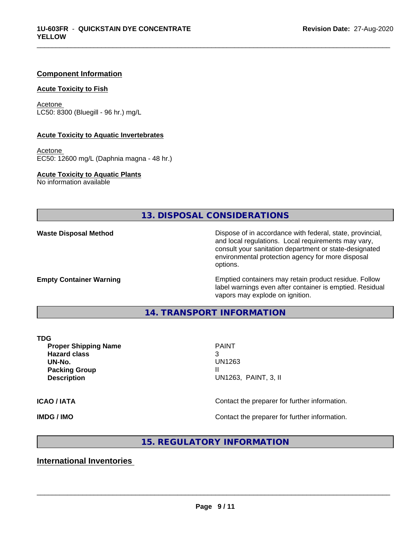#### **Component Information**

#### **Acute Toxicity to Fish**

Acetone LC50: 8300 (Bluegill - 96 hr.) mg/L

#### **Acute Toxicity to Aquatic Invertebrates**

Acetone EC50: 12600 mg/L (Daphnia magna - 48 hr.)

**Acute Toxicity to Aquatic Plants** No information available

**13. DISPOSAL CONSIDERATIONS**

**Waste Disposal Method Dispose of in accordance with federal, state, provincial,** and local regulations. Local requirements may vary, consult your sanitation department or state-designated environmental protection agency for more disposal options.

**Empty Container Warning <b>Emptied** Containers may retain product residue. Follow label warnings even after container is emptied. Residual vapors may explode on ignition.

# **14. TRANSPORT INFORMATION**

**Proper Shipping Name PAINT Hazard class** 3 **UN-No.** UN1263 **Packing Group III Description** UN1263, PAINT, 3, II

 $\overline{\phantom{a}}$  ,  $\overline{\phantom{a}}$  ,  $\overline{\phantom{a}}$  ,  $\overline{\phantom{a}}$  ,  $\overline{\phantom{a}}$  ,  $\overline{\phantom{a}}$  ,  $\overline{\phantom{a}}$  ,  $\overline{\phantom{a}}$  ,  $\overline{\phantom{a}}$  ,  $\overline{\phantom{a}}$  ,  $\overline{\phantom{a}}$  ,  $\overline{\phantom{a}}$  ,  $\overline{\phantom{a}}$  ,  $\overline{\phantom{a}}$  ,  $\overline{\phantom{a}}$  ,  $\overline{\phantom{a}}$ 

\_\_\_\_\_\_\_\_\_\_\_\_\_\_\_\_\_\_\_\_\_\_\_\_\_\_\_\_\_\_\_\_\_\_\_\_\_\_\_\_\_\_\_\_\_\_\_\_\_\_\_\_\_\_\_\_\_\_\_\_\_\_\_\_\_\_\_\_\_\_\_\_\_\_\_\_\_\_\_\_\_\_\_\_\_\_\_\_\_\_\_\_\_

**ICAO / IATA ICAO / IATA Contact the preparer for further information.** 

**IMDG / IMO Contact the preparer for further information.** 

**15. REGULATORY INFORMATION**

**International Inventories**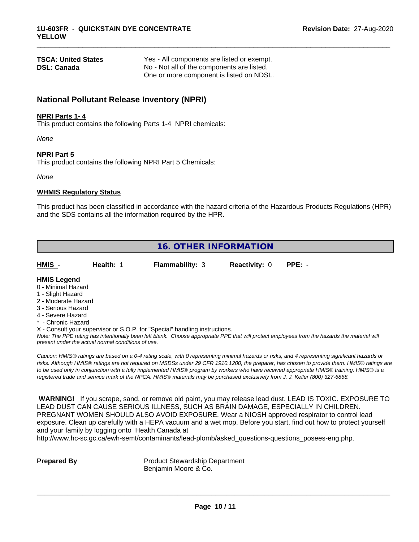| <b>TSCA: United States</b> | Yes - All components are listed or exempt. |  |
|----------------------------|--------------------------------------------|--|
| <b>DSL: Canada</b>         | No - Not all of the components are listed. |  |
|                            | One or more component is listed on NDSL.   |  |

# **National Pollutant Release Inventory (NPRI)**

#### **NPRI Parts 1- 4**

This product contains the following Parts 1-4 NPRI chemicals:

*None*

#### **NPRI Part 5**

This product contains the following NPRI Part 5 Chemicals:

*None*

# **WHMIS Regulatory Status**

This product has been classified in accordance with the hazard criteria of the Hazardous Products Regulations (HPR) and the SDS contains all the information required by the HPR.

\_\_\_\_\_\_\_\_\_\_\_\_\_\_\_\_\_\_\_\_\_\_\_\_\_\_\_\_\_\_\_\_\_\_\_\_\_\_\_\_\_\_\_\_\_\_\_\_\_\_\_\_\_\_\_\_\_\_\_\_\_\_\_\_\_\_\_\_\_\_\_\_\_\_\_\_\_\_\_\_\_\_\_\_\_\_\_\_\_\_\_\_\_

| <b>16. OTHER INFORMATION</b>                                                                                                                          |                                                    |                                                                            |                      |                                                                                                                                                                                                                                                                                                                                                                                                                                                                                                                                                                              |  |
|-------------------------------------------------------------------------------------------------------------------------------------------------------|----------------------------------------------------|----------------------------------------------------------------------------|----------------------|------------------------------------------------------------------------------------------------------------------------------------------------------------------------------------------------------------------------------------------------------------------------------------------------------------------------------------------------------------------------------------------------------------------------------------------------------------------------------------------------------------------------------------------------------------------------------|--|
| HMIS -                                                                                                                                                | Health: 1                                          | <b>Flammability: 3</b>                                                     | <b>Reactivity: 0</b> | $PPE: -$                                                                                                                                                                                                                                                                                                                                                                                                                                                                                                                                                                     |  |
| <b>HMIS Legend</b><br>0 - Minimal Hazard<br>1 - Slight Hazard<br>2 - Moderate Hazard<br>3 - Serious Hazard<br>4 - Severe Hazard<br>* - Chronic Hazard | present under the actual normal conditions of use. | X - Consult your supervisor or S.O.P. for "Special" handling instructions. |                      | Note: The PPE rating has intentionally been left blank. Choose appropriate PPE that will protect employees from the hazards the material will                                                                                                                                                                                                                                                                                                                                                                                                                                |  |
|                                                                                                                                                       |                                                    |                                                                            |                      | Caution: HMIS® ratings are based on a 0-4 rating scale, with 0 representing minimal hazards or risks, and 4 representing significant hazards or<br>risks. Although HMIS® ratings are not required on MSDSs under 29 CFR 1910.1200, the preparer, has chosen to provide them. HMIS® ratings are<br>to be used only in conjunction with a fully implemented HMIS® program by workers who have received appropriate HMIS® training. HMIS® is a<br>registered trade and service mark of the NPCA. HMIS® materials may be purchased exclusively from J. J. Keller (800) 327-6868. |  |

 **WARNING!** If you scrape, sand, or remove old paint, you may release lead dust. LEAD IS TOXIC. EXPOSURE TO LEAD DUST CAN CAUSE SERIOUS ILLNESS, SUCH AS BRAIN DAMAGE, ESPECIALLY IN CHILDREN. PREGNANT WOMEN SHOULD ALSO AVOID EXPOSURE. Wear a NIOSH approved respirator to control lead exposure. Clean up carefully with a HEPA vacuum and a wet mop. Before you start, find out how to protect yourself and your family by logging onto Health Canada at

http://www.hc-sc.gc.ca/ewh-semt/contaminants/lead-plomb/asked\_questions-questions\_posees-eng.php.

**Prepared By** Product Stewardship Department Benjamin Moore & Co.